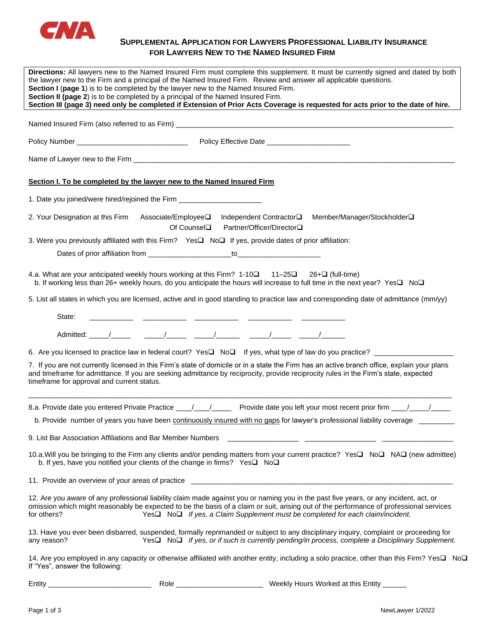

# **SUPPLEMENTAL APPLICATION FOR LAWYERS PROFESSIONAL LIABILITY INSURANCE FOR LAWYERS NEW TO THE NAMED INSURED FIRM**

| Directions: All lawyers new to the Named Insured Firm must complete this supplement. It must be currently signed and dated by both<br>the lawyer new to the Firm and a principal of the Named Insured Firm. Review and answer all applicable questions.<br>Section I (page 1) is to be completed by the lawyer new to the Named Insured Firm.<br>Section II (page 2) is to be completed by a principal of the Named Insured Firm.<br>Section III (page 3) need only be completed if Extension of Prior Acts Coverage is requested for acts prior to the date of hire. |
|-----------------------------------------------------------------------------------------------------------------------------------------------------------------------------------------------------------------------------------------------------------------------------------------------------------------------------------------------------------------------------------------------------------------------------------------------------------------------------------------------------------------------------------------------------------------------|
|                                                                                                                                                                                                                                                                                                                                                                                                                                                                                                                                                                       |
|                                                                                                                                                                                                                                                                                                                                                                                                                                                                                                                                                                       |
|                                                                                                                                                                                                                                                                                                                                                                                                                                                                                                                                                                       |
| Section I. To be completed by the lawyer new to the Named Insured Firm                                                                                                                                                                                                                                                                                                                                                                                                                                                                                                |
| 1. Date you joined/were hired/rejoined the Firm ________________________________                                                                                                                                                                                                                                                                                                                                                                                                                                                                                      |
| 2. Your Designation at this Firm Associate/Employee□ Independent Contractor□ Member/Manager/Stockholder□<br>Of Counsel <b>□</b><br>Partner/Officer/Director□                                                                                                                                                                                                                                                                                                                                                                                                          |
| 3. Were you previously affiliated with this Firm? Yes□ No□ If yes, provide dates of prior affiliation:                                                                                                                                                                                                                                                                                                                                                                                                                                                                |
|                                                                                                                                                                                                                                                                                                                                                                                                                                                                                                                                                                       |
| 4.a. What are your anticipated weekly hours working at this Firm? 1-10□ 11-25□ 26+□ (full-time)<br>b. If working less than 26+ weekly hours, do you anticipate the hours will increase to full time in the next year? Yes□ No□                                                                                                                                                                                                                                                                                                                                        |
| 5. List all states in which you are licensed, active and in good standing to practice law and corresponding date of admittance (mm/yy)                                                                                                                                                                                                                                                                                                                                                                                                                                |
| State:                                                                                                                                                                                                                                                                                                                                                                                                                                                                                                                                                                |
|                                                                                                                                                                                                                                                                                                                                                                                                                                                                                                                                                                       |
|                                                                                                                                                                                                                                                                                                                                                                                                                                                                                                                                                                       |
| 7. If you are not currently licensed in this Firm's state of domicile or in a state the Firm has an active branch office, explain your plans<br>and timeframe for admittance. If you are seeking admittance by reciprocity, provide reciprocity rules in the Firm's state, expected<br>timeframe for approval and current status.                                                                                                                                                                                                                                     |
| 8.a. Provide date you entered Private Practice ____/____/ Provide date you left your most recent prior firm ____/_____/                                                                                                                                                                                                                                                                                                                                                                                                                                               |
| b. Provide number of years you have been continuously insured with no gaps for lawyer's professional liability coverage _                                                                                                                                                                                                                                                                                                                                                                                                                                             |
| 9. List Bar Association Affiliations and Bar Member Numbers                                                                                                                                                                                                                                                                                                                                                                                                                                                                                                           |
| 10.a. Will you be bringing to the Firm any clients and/or pending matters from your current practice? Yes□ No□ NA□ (new admittee)<br>b. If yes, have you notified your clients of the change in firms? Yes□ No□                                                                                                                                                                                                                                                                                                                                                       |
|                                                                                                                                                                                                                                                                                                                                                                                                                                                                                                                                                                       |
| 12. Are you aware of any professional liability claim made against you or naming you in the past five years, or any incident, act, or<br>omission which might reasonably be expected to be the basis of a claim or suit, arising out of the performance of professional services<br>Yes□ No□ If yes, a Claim Supplement must be completed for each claim/incident.<br>for others?                                                                                                                                                                                     |
| 13. Have you ever been disbarred, suspended, formally reprimanded or subject to any disciplinary inquiry, complaint or proceeding for<br>Yes□ No□ If yes, or if such is currently pending/in process, complete a Disciplinary Supplement.<br>any reason?                                                                                                                                                                                                                                                                                                              |
| 14. Are you employed in any capacity or otherwise affiliated with another entity, including a solo practice, other than this Firm? Yes□ No□<br>If "Yes", answer the following:                                                                                                                                                                                                                                                                                                                                                                                        |

Entity \_\_\_\_\_\_\_\_\_\_\_\_\_\_\_\_\_\_\_\_\_\_\_\_\_\_ Role \_\_\_\_\_\_\_\_\_\_\_\_\_\_\_\_\_\_\_\_\_\_ Weekly Hours Worked at this Entity \_\_\_\_\_\_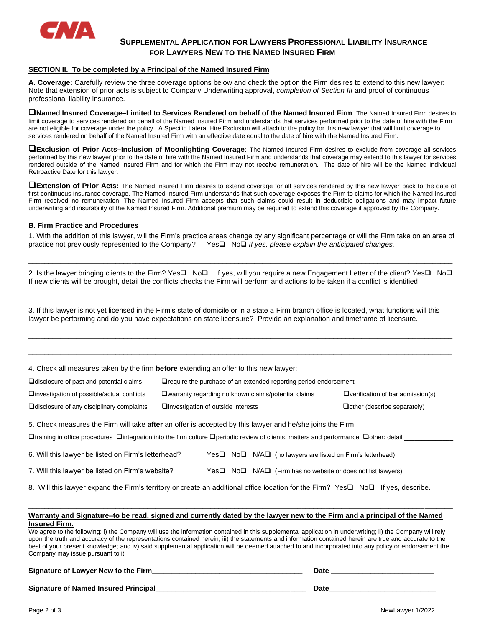

# **SUPPLEMENTAL APPLICATION FOR LAWYERS PROFESSIONAL LIABILITY INSURANCE FOR LAWYERS NEW TO THE NAMED INSURED FIRM**

## **SECTION II. To be completed by a Principal of the Named Insured Firm**

**A. Coverage:** Carefully review the three coverage options below and check the option the Firm desires to extend to this new lawyer: Note that extension of prior acts is subject to Company Underwriting approval, *completion of Section III* and proof of continuous professional liability insurance.

❑**Named Insured Coverage–Limited to Services Rendered on behalf of the Named Insured Firm**: The Named Insured Firm desires to limit coverage to services rendered on behalf of the Named Insured Firm and understands that services performed prior to the date of hire with the Firm are not eligible for coverage under the policy. A Specific Lateral Hire Exclusion will attach to the policy for this new lawyer that will limit coverage to services rendered on behalf of the Named Insured Firm with an effective date equal to the date of hire with the Named Insured Firm.

❑**Exclusion of Prior Acts–Inclusion of Moonlighting Coverage**: The Named Insured Firm desires to exclude from coverage all services performed by this new lawyer prior to the date of hire with the Named Insured Firm and understands that coverage may extend to this lawyer for services rendered outside of the Named Insured Firm and for which the Firm may not receive remuneration. The date of hire will be the Named Individual Retroactive Date for this lawyer.

❑**Extension of Prior Acts:** The Named Insured Firm desires to extend coverage for all services rendered by this new lawyer back to the date of first continuous insurance coverage. The Named Insured Firm understands that such coverage exposes the Firm to claims for which the Named Insured Firm received no remuneration. The Named Insured Firm accepts that such claims could result in deductible obligations and may impact future underwriting and insurability of the Named Insured Firm. Additional premium may be required to extend this coverage if approved by the Company.

### **B. Firm Practice and Procedures**

1. With the addition of this lawyer, will the Firm's practice areas change by any significant percentage or will the Firm take on an area of practice not previously represented to the Company? Yes❑No❑ *If yes, please explain the anticipated changes.*

| 2. Is the lawyer bringing clients to the Firm? Yes□ No□ If yes, will you require a new Engagement Letter of the client? Yes□ No□       |  |
|----------------------------------------------------------------------------------------------------------------------------------------|--|
| If new clients will be brought, detail the conflicts checks the Firm will perform and actions to be taken if a conflict is identified. |  |

\_\_\_\_\_\_\_\_\_\_\_\_\_\_\_\_\_\_\_\_\_\_\_\_\_\_\_\_\_\_\_\_\_\_\_\_\_\_\_\_\_\_\_\_\_\_\_\_\_\_\_\_\_\_\_\_\_\_\_\_\_\_\_\_\_\_\_\_\_\_\_\_\_\_\_\_\_\_\_\_\_\_\_\_\_\_\_\_\_\_\_\_\_\_\_\_\_\_\_\_\_\_\_\_\_\_\_

\_\_\_\_\_\_\_\_\_\_\_\_\_\_\_\_\_\_\_\_\_\_\_\_\_\_\_\_\_\_\_\_\_\_\_\_\_\_\_\_\_\_\_\_\_\_\_\_\_\_\_\_\_\_\_\_\_\_\_\_\_\_\_\_\_\_\_\_\_\_\_\_\_\_\_\_\_\_\_\_\_\_\_\_\_\_\_\_\_\_\_\_\_\_\_\_\_\_\_\_\_\_\_\_\_\_\_

\_\_\_\_\_\_\_\_\_\_\_\_\_\_\_\_\_\_\_\_\_\_\_\_\_\_\_\_\_\_\_\_\_\_\_\_\_\_\_\_\_\_\_\_\_\_\_\_\_\_\_\_\_\_\_\_\_\_\_\_\_\_\_\_\_\_\_\_\_\_\_\_\_\_\_\_\_\_\_\_\_\_\_\_\_\_\_\_\_\_\_\_\_\_\_\_\_\_\_\_\_\_\_\_\_\_\_

\_\_\_\_\_\_\_\_\_\_\_\_\_\_\_\_\_\_\_\_\_\_\_\_\_\_\_\_\_\_\_\_\_\_\_\_\_\_\_\_\_\_\_\_\_\_\_\_\_\_\_\_\_\_\_\_\_\_\_\_\_\_\_\_\_\_\_\_\_\_\_\_\_\_\_\_\_\_\_\_\_\_\_\_\_\_\_\_\_\_\_\_\_\_\_\_\_\_\_\_\_\_\_\_\_\_\_

3. If this lawyer is not yet licensed in the Firm's state of domicile or in a state a Firm branch office is located, what functions will this lawyer be performing and do you have expectations on state licensure? Provide an explanation and timeframe of licensure.

4. Check all measures taken by the firm **before** extending an offer to this new lawyer:

| $\Box$ disclosure of past and potential claims                                                                                                                                                                                                     | $\Box$ require the purchase of an extended reporting period endorsement |                                                                                      |  |  |
|----------------------------------------------------------------------------------------------------------------------------------------------------------------------------------------------------------------------------------------------------|-------------------------------------------------------------------------|--------------------------------------------------------------------------------------|--|--|
| $\Box$ investigation of possible/actual conflicts                                                                                                                                                                                                  | □ warranty regarding no known claims/potential claims                   | $\Box$ verification of bar admission(s)                                              |  |  |
| $\Box$ disclosure of any disciplinary complaints                                                                                                                                                                                                   | $\square$ investigation of outside interests                            | $\Box$ other (describe separately)                                                   |  |  |
| 5. Check measures the Firm will take after an offer is accepted by this lawyer and he/she joins the Firm:<br>□training in office procedures □integration into the firm culture □periodic review of clients, matters and performance □other: detail |                                                                         |                                                                                      |  |  |
| 6. Will this lawyer be listed on Firm's letterhead?                                                                                                                                                                                                |                                                                         | $Yes\square$ No $\square$ N/A $\square$ (no lawyers are listed on Firm's letterhead) |  |  |
|                                                                                                                                                                                                                                                    |                                                                         |                                                                                      |  |  |

7. Will this lawyer be listed on Firm's website? Yes❑ No❑ N/A❑ (Firm has no website or does not list lawyers)

8. Will this lawyer expand the Firm's territory or create an additional office location for the Firm? Yes❑ No❑ If yes, describe.

#### **Warranty and Signature–to be read, signed and currently dated by the lawyer new to the Firm and a principal of the Named Insured Firm.**

\_\_\_\_\_\_\_\_\_\_\_\_\_\_\_\_\_\_\_\_\_\_\_\_\_\_\_\_\_\_\_\_\_\_\_\_\_\_\_\_\_\_\_\_\_\_\_\_\_\_\_\_\_\_\_\_\_\_\_\_\_\_\_\_\_\_\_\_\_\_\_\_\_\_\_\_\_\_\_\_\_\_\_\_\_\_\_\_\_\_\_\_\_\_\_\_\_\_\_\_\_\_\_\_\_\_\_

We agree to the following: i) the Company will use the information contained in this supplemental application in underwriting; ii) the Company will rely upon the truth and accuracy of the representations contained herein; iii) the statements and information contained herein are true and accurate to the best of your present knowledge; and iv) said supplemental application will be deemed attached to and incorporated into any policy or endorsement the Company may issue pursuant to it.

## **Signature of Lawyer New to the Firm\_\_\_\_\_\_\_\_\_\_\_\_\_\_\_\_\_\_\_\_\_\_\_\_\_\_\_\_\_\_\_\_\_\_\_\_\_\_ Date \_\_\_\_\_\_\_\_\_\_\_\_\_\_\_\_\_\_\_\_\_\_\_\_\_\_**

**Signature of Named Insured Principal\_\_\_\_\_\_\_\_\_\_\_\_\_\_\_\_\_\_\_\_\_\_\_\_\_\_\_\_\_\_\_\_\_\_\_\_\_\_ Date\_\_\_\_\_\_\_\_\_\_\_\_\_\_\_\_\_\_\_\_\_\_\_\_\_\_\_**